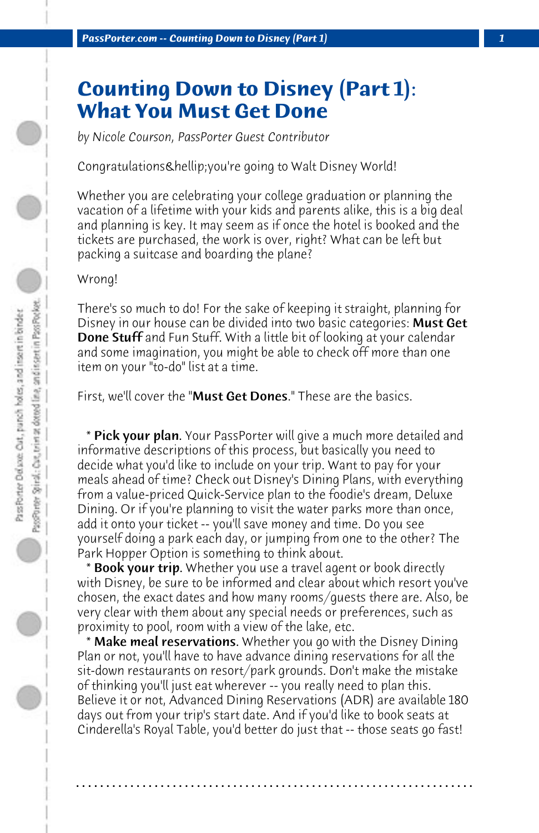## **Counting Down to Disney (Part 1): What You Must Get Done**

*by Nicole Courson, PassPorter Guest Contributor*

Congratulations & hellip; you're going to Walt Disney World!

Whether you are celebrating your college graduation or planning the vacation of a lifetime with your kids and parents alike, this is a big deal and planning is key. It may seem as if once the hotel is booked and the tickets are purchased, the work is over, right? What can be left but packing a suitcase and boarding the plane?

Wrong!

There's so much to do! For the sake of keeping it straight, planning for Disney in our house can be divided into two basic categories: **Must Get Done Stuff** and Fun Stuff. With a little bit of looking at your calendar and some imagination, you might be able to check off more than one item on your "to-do" list at a time.

First, we'll cover the "Must Get Dones." These are the basics.

 \* Pick your plan. Your PassPorter will give a much more detailed and informative descriptions of this process, but basically you need to decide what you'd like to include on your trip. Want to pay for your meals ahead of time? Check out Disney's Dining Plans, with everything from a value-priced Quick-Service plan to the foodie's dream, Deluxe Dining. Or if you're planning to visit the water parks more than once, add it onto your ticket -- you'll save money and time. Do you see yourself doing a park each day, or jumping from one to the other? The Park Hopper Option is something to think about.

 \* Book your trip. Whether you use a travel agent or book directly with Disney, be sure to be informed and clear about which resort you've chosen, the exact dates and how many rooms/guests there are. Also, be very clear with them about any special needs or preferences, such as proximity to pool, room with a view of the lake, etc.

 \* Make meal reservations. Whether you go with the Disney Dining Plan or not, you'll have to have advance dining reservations for all the sit-down restaurants on resort/park grounds. Don't make the mistake of thinking you'll just eat wherever -- you really need to plan this. Believe it or not, Advanced Dining Reservations (ADR) are available 180 days out from your trip's start date. And if you'd like to book seats at Cinderella's Royal Table, you'd better do just that -- those seats go fast!

**. . . . . . . . . . . . . . . . . . . . . . . . . . . . . . . . . . . . . . . . . . . . . . . . . . . . . . . . . . . . . . . . . .**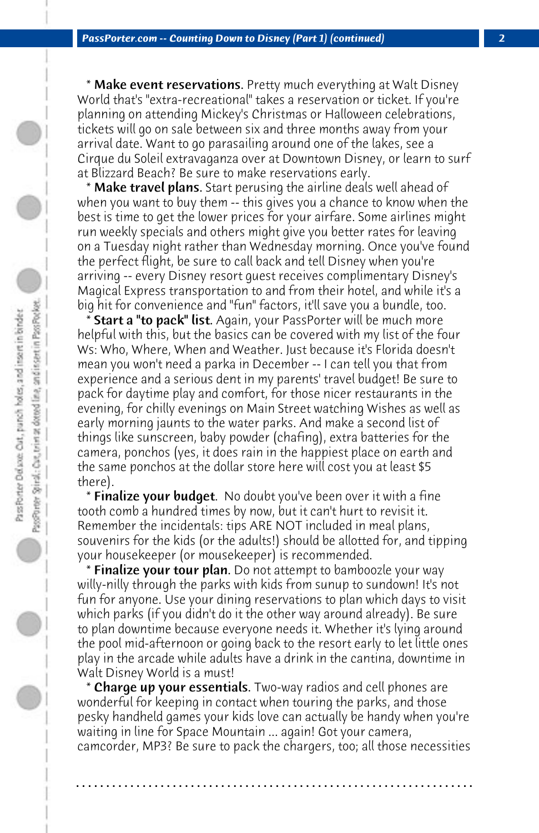\* Make event reservations. Pretty much everything at Walt Disney World that's "extra-recreational" takes a reservation or ticket. If you're planning on attending Mickey's Christmas or Halloween celebrations, tickets will go on sale between six and three months away from your arrival date. Want to go parasailing around one of the lakes, see a Cirque du Soleil extravaganza over at Downtown Disney, or learn to surf at Blizzard Beach? Be sure to make reservations early.

 \* Make travel plans. Start perusing the airline deals well ahead of when you want to buy them -- this gives you a chance to know when the best is time to get the lower prices for your airfare. Some airlines might run weekly specials and others might give you better rates for leaving on a Tuesday night rather than Wednesday morning. Once you've found the perfect flight, be sure to call back and tell Disney when you're arriving -- every Disney resort guest receives complimentary Disney's Magical Express transportation to and from their hotel, and while it's a big hit for convenience and "fun" factors, it'll save you a bundle, too.

 \* Start a "to pack" list. Again, your PassPorter will be much more helpful with this, but the basics can be covered with my list of the four Ws: Who, Where, When and Weather. Just because it's Florida doesn't mean you won't need a parka in December -- I can tell you that from experience and a serious dent in my parents' travel budget! Be sure to pack for daytime play and comfort, for those nicer restaurants in the evening, for chilly evenings on Main Street watching Wishes as well as early morning jaunts to the water parks. And make a second list of things like sunscreen, baby powder (chafing), extra batteries for the camera, ponchos (yes, it does rain in the happiest place on earth and the same ponchos at the dollar store here will cost you at least \$5 there).

 \* Finalize your budget. No doubt you've been over it with a fine tooth comb a hundred times by now, but it can't hurt to revisit it. Remember the incidentals: tips ARE NOT included in meal plans, souvenirs for the kids (or the adults!) should be allotted for, and tipping your housekeeper (or mousekeeper) is recommended.

 \* Finalize your tour plan. Do not attempt to bamboozle your way willy-nilly through the parks with kids from sunup to sundown! It's not fun for anyone. Use your dining reservations to plan which days to visit which parks (if you didn't do it the other way around already). Be sure to plan downtime because everyone needs it. Whether it's lying around the pool mid-afternoon or going back to the resort early to let little ones play in the arcade while adults have a drink in the cantina, downtime in Walt Disney World is a must!

**\* Charge up your essentials**. Two-way radios and cell phones are wonderful for keeping in contact when touring the parks, and those pesky handheld games your kids love can actually be handy when you're waiting in line for Space Mountain ... again! Got your camera, camcorder, MP3? Be sure to pack the chargers, too; all those necessities

**. . . . . . . . . . . . . . . . . . . . . . . . . . . . . . . . . . . . . . . . . . . . . . . . . . . . . . . . . . . . . . . . . .**